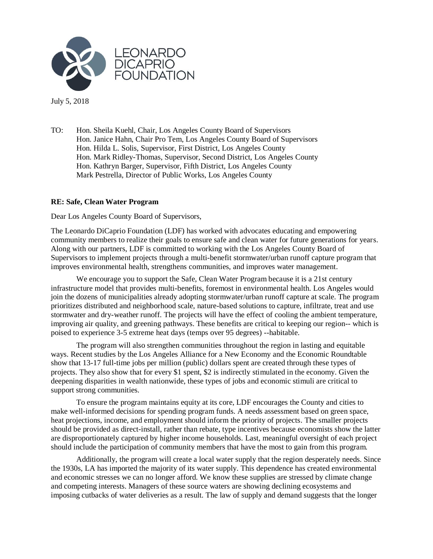

July 5, 2018

TO: Hon. Sheila Kuehl, Chair, Los Angeles County Board of Supervisors Hon. Janice Hahn, Chair Pro Tem, Los Angeles County Board of Supervisors Hon. Hilda L. Solis, Supervisor, First District, Los Angeles County Hon. Mark Ridley-Thomas, Supervisor, Second District, Los Angeles County Hon. Kathryn Barger, Supervisor, Fifth District, Los Angeles County Mark Pestrella, Director of Public Works, Los Angeles County

## **RE: Safe, Clean Water Program**

Dear Los Angeles County Board of Supervisors,

The Leonardo DiCaprio Foundation (LDF) has worked with advocates educating and empowering community members to realize their goals to ensure safe and clean water for future generations for years. Along with our partners, LDF is committed to working with the Los Angeles County Board of Supervisors to implement projects through a multi-benefit stormwater/urban runoff capture program that improves environmental health, strengthens communities, and improves water management.

We encourage you to support the Safe, Clean Water Program because it is a 21st century infrastructure model that provides multi-benefits, foremost in environmental health. Los Angeles would join the dozens of municipalities already adopting stormwater/urban runoff capture at scale. The program prioritizes distributed and neighborhood scale, nature-based solutions to capture, infiltrate, treat and use stormwater and dry-weather runoff. The projects will have the effect of cooling the ambient temperature, improving air quality, and greening pathways. These benefits are critical to keeping our region-- which is poised to experience 3-5 extreme heat days (temps over 95 degrees) --habitable.

The program will also strengthen communities throughout the region in lasting and equitable ways. Recent studies by the Los Angeles Alliance for a New Economy and the Economic Roundtable show that 13-17 full-time jobs per million (public) dollars spent are created through these types of projects. They also show that for every \$1 spent, \$2 is indirectly stimulated in the economy. Given the deepening disparities in wealth nationwide, these types of jobs and economic stimuli are critical to support strong communities.

To ensure the program maintains equity at its core, LDF encourages the County and cities to make well-informed decisions for spending program funds. A needs assessment based on green space, heat projections, income, and employment should inform the priority of projects. The smaller projects should be provided as direct-install, rather than rebate, type incentives because economists show the latter are disproportionately captured by higher income households. Last, meaningful oversight of each project should include the participation of community members that have the most to gain from this program.

Additionally, the program will create a local water supply that the region desperately needs. Since the 1930s, LA has imported the majority of its water supply. This dependence has created environmental and economic stresses we can no longer afford. We know these supplies are stressed by climate change and competing interests. Managers of these source waters are showing declining ecosystems and imposing cutbacks of water deliveries as a result. The law of supply and demand suggests that the longer